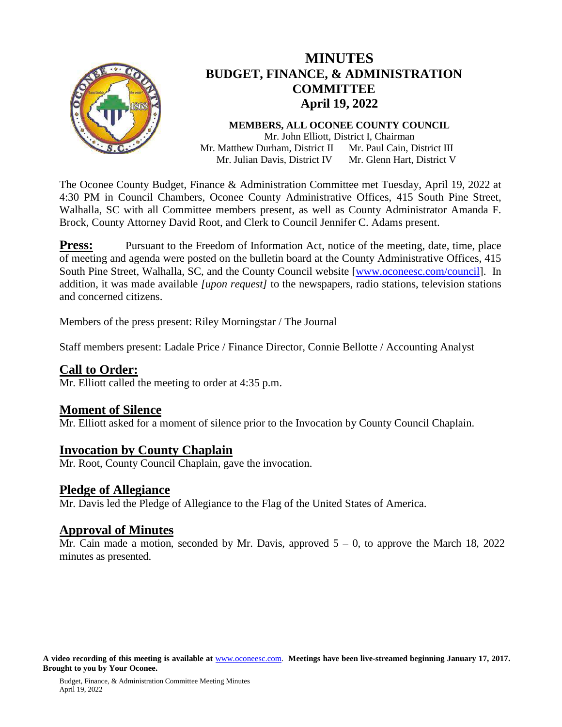

# **MINUTES BUDGET, FINANCE, & ADMINISTRATION COMMITTEE April 19, 2022**

**MEMBERS, ALL OCONEE COUNTY COUNCIL** Mr. John Elliott, District I, Chairman Mr. Matthew Durham, District II Mr. Julian Davis, District IV Mr. Paul Cain, District III Mr. Glenn Hart, District V

The Oconee County Budget, Finance & Administration Committee met Tuesday, April 19, 2022 at 4:30 PM in Council Chambers, Oconee County Administrative Offices, 415 South Pine Street, Walhalla, SC with all Committee members present, as well as County Administrator Amanda F. Brock, County Attorney David Root, and Clerk to Council Jennifer C. Adams present.

**Press:** Pursuant to the Freedom of Information Act, notice of the meeting, date, time, place of meeting and agenda were posted on the bulletin board at the County Administrative Offices, 415 South Pine Street, Walhalla, SC, and the County Council website [\[www.oconeesc.com/council\]](http://www.oconeesc.com/council). In addition, it was made available *[upon request]* to the newspapers, radio stations, television stations and concerned citizens.

Members of the press present: Riley Morningstar / The Journal

Staff members present: Ladale Price / Finance Director, Connie Bellotte / Accounting Analyst

# **Call to Order:**

Mr. Elliott called the meeting to order at 4:35 p.m.

## **Moment of Silence**

Mr. Elliott asked for a moment of silence prior to the Invocation by County Council Chaplain.

## **Invocation by County Chaplain**

Mr. Root, County Council Chaplain, gave the invocation.

### **Pledge of Allegiance**

Mr. Davis led the Pledge of Allegiance to the Flag of the United States of America.

**Approval of Minutes**<br>Mr. Cain made a motion, seconded by Mr. Davis, approved 5 – 0, to approve the March 18, 2022 minutes as presented.

**A video recording of this meeting is available at** [www.oconeesc.com.](http://www.oconeesc.com/) **Meetings have been live-streamed beginning January 17, 2017. Brought to you by Your Oconee.**